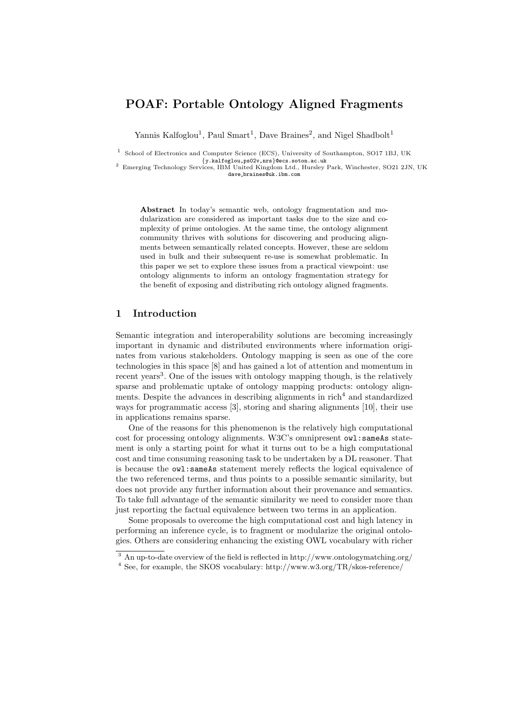# POAF: Portable Ontology Aligned Fragments

Yannis Kalfoglou<sup>1</sup>, Paul Smart<sup>1</sup>, Dave Braines<sup>2</sup>, and Nigel Shadbolt<sup>1</sup>

1 School of Electronics and Computer Science (ECS), University of Southampton, SO17 1BJ, UK

{y.kalfoglou,ps02v,nrs}@ecs.soton.ac.uk <sup>2</sup> Emerging Technology Services, IBM United Kingdom Ltd., Hursley Park, Winchester, SO21 2JN, UK dave braines@uk.ibm.com

Abstract In today's semantic web, ontology fragmentation and modularization are considered as important tasks due to the size and complexity of prime ontologies. At the same time, the ontology alignment community thrives with solutions for discovering and producing alignments between semantically related concepts. However, these are seldom used in bulk and their subsequent re-use is somewhat problematic. In this paper we set to explore these issues from a practical viewpoint: use ontology alignments to inform an ontology fragmentation strategy for the benefit of exposing and distributing rich ontology aligned fragments.

#### 1 Introduction

Semantic integration and interoperability solutions are becoming increasingly important in dynamic and distributed environments where information originates from various stakeholders. Ontology mapping is seen as one of the core technologies in this space [8] and has gained a lot of attention and momentum in recent years<sup>3</sup>. One of the issues with ontology mapping though, is the relatively sparse and problematic uptake of ontology mapping products: ontology alignments. Despite the advances in describing alignments in  $rich<sup>4</sup>$  and standardized ways for programmatic access [3], storing and sharing alignments [10], their use in applications remains sparse.

One of the reasons for this phenomenon is the relatively high computational cost for processing ontology alignments. W3C's omnipresent owl:sameAs statement is only a starting point for what it turns out to be a high computational cost and time consuming reasoning task to be undertaken by a DL reasoner. That is because the owl:sameAs statement merely reflects the logical equivalence of the two referenced terms, and thus points to a possible semantic similarity, but does not provide any further information about their provenance and semantics. To take full advantage of the semantic similarity we need to consider more than just reporting the factual equivalence between two terms in an application.

Some proposals to overcome the high computational cost and high latency in performing an inference cycle, is to fragment or modularize the original ontologies. Others are considering enhancing the existing OWL vocabulary with richer

<sup>3</sup> An up-to-date overview of the field is reflected in http://www.ontologymatching.org/

<sup>4</sup> See, for example, the SKOS vocabulary: http://www.w3.org/TR/skos-reference/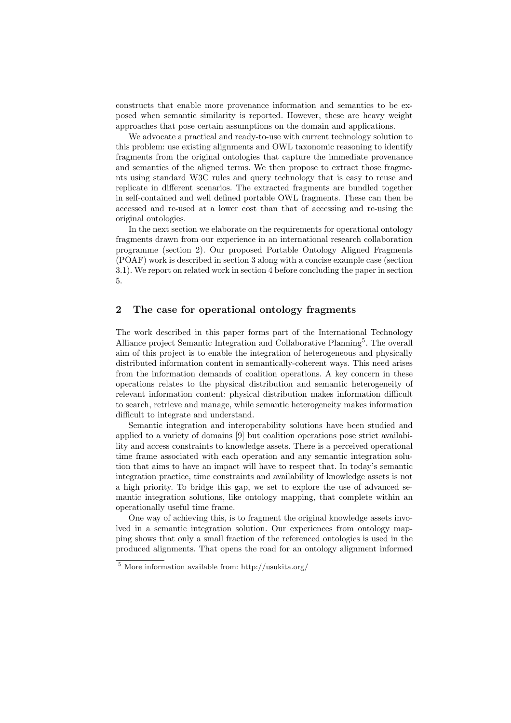constructs that enable more provenance information and semantics to be exposed when semantic similarity is reported. However, these are heavy weight approaches that pose certain assumptions on the domain and applications.

We advocate a practical and ready-to-use with current technology solution to this problem: use existing alignments and OWL taxonomic reasoning to identify fragments from the original ontologies that capture the immediate provenance and semantics of the aligned terms. We then propose to extract those fragments using standard W3C rules and query technology that is easy to reuse and replicate in different scenarios. The extracted fragments are bundled together in self-contained and well defined portable OWL fragments. These can then be accessed and re-used at a lower cost than that of accessing and re-using the original ontologies.

In the next section we elaborate on the requirements for operational ontology fragments drawn from our experience in an international research collaboration programme (section 2). Our proposed Portable Ontology Aligned Fragments (POAF) work is described in section 3 along with a concise example case (section 3.1). We report on related work in section 4 before concluding the paper in section 5.

## 2 The case for operational ontology fragments

The work described in this paper forms part of the International Technology Alliance project Semantic Integration and Collaborative Planning<sup>5</sup>. The overall aim of this project is to enable the integration of heterogeneous and physically distributed information content in semantically-coherent ways. This need arises from the information demands of coalition operations. A key concern in these operations relates to the physical distribution and semantic heterogeneity of relevant information content: physical distribution makes information difficult to search, retrieve and manage, while semantic heterogeneity makes information difficult to integrate and understand.

Semantic integration and interoperability solutions have been studied and applied to a variety of domains [9] but coalition operations pose strict availability and access constraints to knowledge assets. There is a perceived operational time frame associated with each operation and any semantic integration solution that aims to have an impact will have to respect that. In today's semantic integration practice, time constraints and availability of knowledge assets is not a high priority. To bridge this gap, we set to explore the use of advanced semantic integration solutions, like ontology mapping, that complete within an operationally useful time frame.

One way of achieving this, is to fragment the original knowledge assets involved in a semantic integration solution. Our experiences from ontology mapping shows that only a small fraction of the referenced ontologies is used in the produced alignments. That opens the road for an ontology alignment informed

<sup>5</sup> More information available from: http://usukita.org/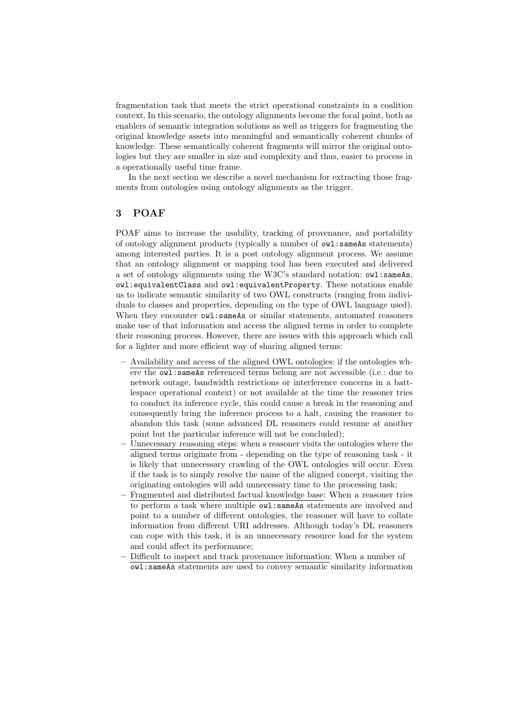fragmentation task that meets the strict operational constraints in a coalition context. In this scenario, the ontology alignments become the focal point, both as enablers of semantic integration solutions as well as triggers for fragmenting the original knowledge assets into meaningful and semantically coherent chunks of knowledge. These semantically coherent fragments will mirror the original ontologies but they are smaller in size and complexity and thus, easier to process in a operationally useful time frame.

In the next section we describe a novel mechanism for extracting those fragments from ontologies using ontology alignments as the trigger.

## 3 POAF

POAF aims to increase the usability, tracking of provenance, and portability of ontology alignment products (typically a number of owl:sameAs statements) among interested parties. It is a post ontology alignment process. We assume that an ontology alignment or mapping tool has been executed and delivered a set of ontology alignments using the W3C's standard notation: owl:sameAs, owl:equivalentClass and owl:equivalentProperty. These notations enable us to indicate semantic similarity of two OWL constructs (ranging from individuals to classes and properties, depending on the type of OWL language used). When they encounter  $ov1$ : sameAs or similar statements, automated reasoners make use of that information and access the aligned terms in order to complete their reasoning process. However, there are issues with this approach which call for a lighter and more efficient way of sharing aligned terms:

- Availability and access of the aligned OWL ontologies: if the ontologies where the owl:sameAs referenced terms belong are not accessible (i.e.: due to network outage, bandwidth restrictions or interference concerns in a battlespace operational context) or not available at the time the reasoner tries to conduct its inference cycle, this could cause a break in the reasoning and consequently bring the inference process to a halt, causing the reasoner to abandon this task (some advanced DL reasoners could resume at another point but the particular inference will not be concluded);
- Unnecessary reasoning steps: when a reasoner visits the ontologies where the aligned terms originate from - depending on the type of reasoning task - it is likely that unnecessary crawling of the OWL ontologies will occur. Even if the task is to simply resolve the name of the aligned concept, visiting the originating ontologies will add unnecessary time to the processing task;
- Fragmented and distributed factual knowledge base: When a reasoner tries to perform a task where multiple owl:sameAs statements are involved and point to a number of different ontologies, the reasoner will have to collate information from different URI addresses. Although today's DL reasoners can cope with this task, it is an unnecessary resource load for the system and could affect its performance;
- Difficult to inspect and track provenance information: When a number of owl:sameAs statements are used to convey semantic similarity information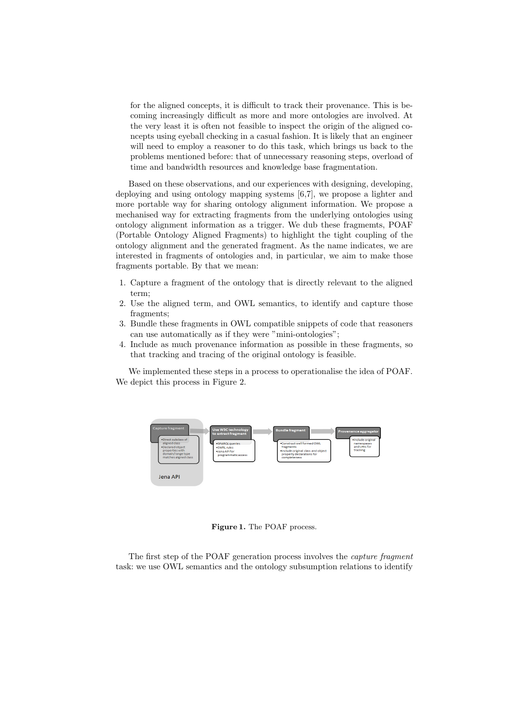for the aligned concepts, it is difficult to track their provenance. This is becoming increasingly difficult as more and more ontologies are involved. At the very least it is often not feasible to inspect the origin of the aligned concepts using eyeball checking in a casual fashion. It is likely that an engineer will need to employ a reasoner to do this task, which brings us back to the problems mentioned before: that of unnecessary reasoning steps, overload of time and bandwidth resources and knowledge base fragmentation.

Based on these observations, and our experiences with designing, developing, deploying and using ontology mapping systems [6,7], we propose a lighter and more portable way for sharing ontology alignment information. We propose a mechanised way for extracting fragments from the underlying ontologies using ontology alignment information as a trigger. We dub these fragmemts, POAF (Portable Ontology Aligned Fragments) to highlight the tight coupling of the ontology alignment and the generated fragment. As the name indicates, we are interested in fragments of ontologies and, in particular, we aim to make those fragments portable. By that we mean:

- 1. Capture a fragment of the ontology that is directly relevant to the aligned term;
- 2. Use the aligned term, and OWL semantics, to identify and capture those fragments;
- 3. Bundle these fragments in OWL compatible snippets of code that reasoners can use automatically as if they were "mini-ontologies";
- 4. Include as much provenance information as possible in these fragments, so that tracking and tracing of the original ontology is feasible.

We implemented these steps in a process to operationalise the idea of POAF. We depict this process in Figure 2.



Figure 1. The POAF process.

The first step of the POAF generation process involves the capture fragment task: we use OWL semantics and the ontology subsumption relations to identify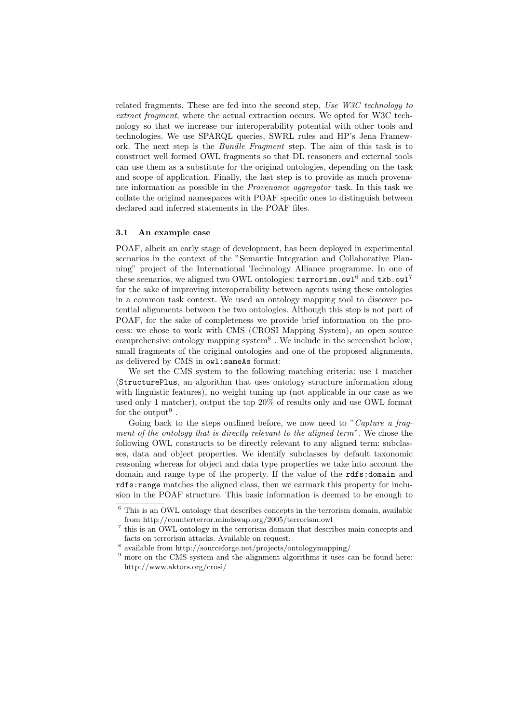related fragments. These are fed into the second step, Use W3C technology to extract fragment, where the actual extraction occurs. We opted for W3C technology so that we increase our interoperability potential with other tools and technologies. We use SPARQL queries, SWRL rules and HP's Jena Framework. The next step is the Bundle Fragment step. The aim of this task is to construct well formed OWL fragments so that DL reasoners and external tools can use them as a substitute for the original ontologies, depending on the task and scope of application. Finally, the last step is to provide as much provenance information as possible in the Provenance aggregator task. In this task we collate the original namespaces with POAF specific ones to distinguish between declared and inferred statements in the POAF files.

#### 3.1 An example case

POAF, albeit an early stage of development, has been deployed in experimental scenarios in the context of the "Semantic Integration and Collaborative Planning" project of the International Technology Alliance programme. In one of these scenarios, we aligned two OWL ontologies:  $\text{terrorism}.\text{owl}^6$  and  $\text{tkb}.\text{owl}^7$ for the sake of improving interoperability between agents using these ontologies in a common task context. We used an ontology mapping tool to discover potential alignments between the two ontologies. Although this step is not part of POAF, for the sake of completeness we provide brief information on the process: we chose to work with CMS (CROSI Mapping System), an open source comprehensive ontology mapping system<sup>8</sup>. We include in the screenshot below, small fragments of the original ontologies and one of the proposed alignments, as delivered by CMS in owl:sameAs format:

We set the CMS system to the following matching criteria: use 1 matcher (StructurePlus, an algorithm that uses ontology structure information along with linguistic features), no weight tuning up (not applicable in our case as we used only 1 matcher), output the top 20% of results only and use OWL format for the output<sup>9</sup>.

Going back to the steps outlined before, we now need to "Capture a fragment of the ontology that is directly relevant to the aligned term". We chose the following OWL constructs to be directly relevant to any aligned term: subclasses, data and object properties. We identify subclasses by default taxonomic reasoning whereas for object and data type properties we take into account the domain and range type of the property. If the value of the rdfs:domain and rdfs:range matches the aligned class, then we earmark this property for inclusion in the POAF structure. This basic information is deemed to be enough to

 $^6$  This is an OWL ontology that describes concepts in the terrorism domain, available from http://counterterror.mindswap.org/2005/terrorism.owl

<sup>&</sup>lt;sup>7</sup> this is an OWL ontology in the terrorism domain that describes main concepts and facts on terrorism attacks. Available on request.

<sup>8</sup> available from http://sourceforge.net/projects/ontologymapping/

<sup>&</sup>lt;sup>9</sup> more on the CMS system and the alignment algorithms it uses can be found here: http://www.aktors.org/crosi/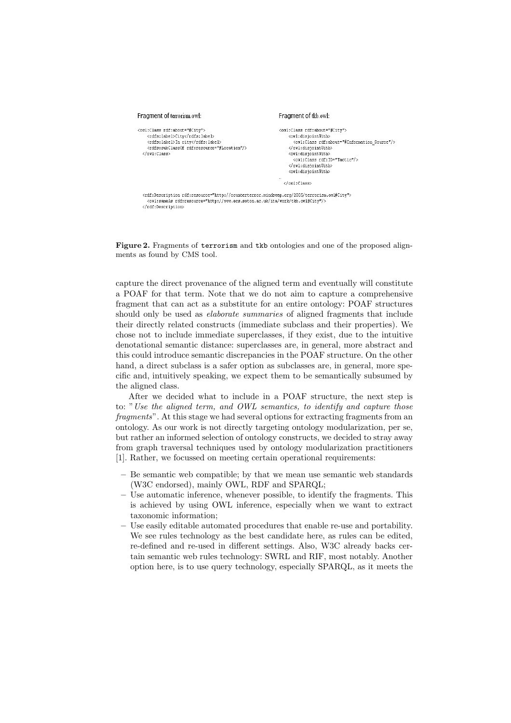

Figure 2. Fragments of terrorism and tkb ontologies and one of the proposed alignments as found by CMS tool.

capture the direct provenance of the aligned term and eventually will constitute a POAF for that term. Note that we do not aim to capture a comprehensive fragment that can act as a substitute for an entire ontology: POAF structures should only be used as *elaborate summaries* of aligned fragments that include their directly related constructs (immediate subclass and their properties). We chose not to include immediate superclasses, if they exist, due to the intuitive denotational semantic distance: superclasses are, in general, more abstract and this could introduce semantic discrepancies in the POAF structure. On the other hand, a direct subclass is a safer option as subclasses are, in general, more specific and, intuitively speaking, we expect them to be semantically subsumed by the aligned class.

After we decided what to include in a POAF structure, the next step is to: "Use the aligned term, and OWL semantics, to identify and capture those fragments". At this stage we had several options for extracting fragments from an ontology. As our work is not directly targeting ontology modularization, per se, but rather an informed selection of ontology constructs, we decided to stray away from graph traversal techniques used by ontology modularization practitioners [1]. Rather, we focussed on meeting certain operational requirements:

- Be semantic web compatible; by that we mean use semantic web standards (W3C endorsed), mainly OWL, RDF and SPARQL;
- Use automatic inference, whenever possible, to identify the fragments. This is achieved by using OWL inference, especially when we want to extract taxonomic information;
- Use easily editable automated procedures that enable re-use and portability. We see rules technology as the best candidate here, as rules can be edited, re-defined and re-used in different settings. Also, W3C already backs certain semantic web rules technology: SWRL and RIF, most notably. Another option here, is to use query technology, especially SPARQL, as it meets the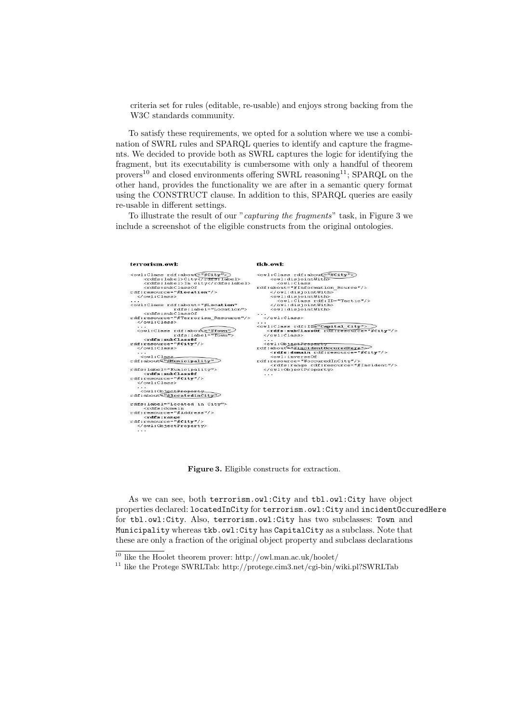criteria set for rules (editable, re-usable) and enjoys strong backing from the W3C standards community.

To satisfy these requirements, we opted for a solution where we use a combination of SWRL rules and SPARQL queries to identify and capture the fragments. We decided to provide both as SWRL captures the logic for identifying the fragment, but its executability is cumbersome with only a handful of theorem provers<sup>10</sup> and closed environments offering SWRL reasoning<sup>11</sup>; SPARQL on the other hand, provides the functionality we are after in a semantic query format using the CONSTRUCT clause. In addition to this, SPARQL queries are easily re-usable in different settings.

To illustrate the result of our "capturing the fragments" task, in Figure 3 we include a screenshot of the eligible constructs from the original ontologies.

| terrorism.owl:                                                                                                                                                                                                                                                                                                                                                                                                         | tkb.owl:                                                                                                                                                                                                                                                                                                                                                                                                                                                                                                                                                                                                                                                                                                                                                                                                                                       |
|------------------------------------------------------------------------------------------------------------------------------------------------------------------------------------------------------------------------------------------------------------------------------------------------------------------------------------------------------------------------------------------------------------------------|------------------------------------------------------------------------------------------------------------------------------------------------------------------------------------------------------------------------------------------------------------------------------------------------------------------------------------------------------------------------------------------------------------------------------------------------------------------------------------------------------------------------------------------------------------------------------------------------------------------------------------------------------------------------------------------------------------------------------------------------------------------------------------------------------------------------------------------------|
| <owl:class rdf:about="#City"><br/><rdfs:label>City</rdfs:label><br/><rdfs:label>In city</rdfs:label><br/><rdfa:aubclassof<br><math>rdf:resource="#Location"/&gt;</math><br/><math>\langle</math>/owl:Class&gt;<br/><owl:class <br="" rdf:about="#Location">rdfs:label="Location"&gt;<br/><rdfs:subclassof<br>rdf:resource="#Terrorism Resource"/&gt;</rdfs:subclassof<br></owl:class></rdfa:aubclassof<br></owl:class> | <owl:class_rdf:about="#city"><br/><owl:disjointwith><br/><math>&lt;</math>owl:Class<br/>rdf:about="#Information Source"/&gt;<br/></owl:disjointwith><br/><owl:disiointwith><br/><owl:class rdf:id="Tactic"></owl:class><br/><br/><owl:disjointwith><br/><math>\langle</math>/owl:Class&gt;<br/><math>-1</math><br/><owl:class rdf:id="Capital City"><br/><rdfs:subclassof rdf:resource="#City"></rdfs:subclassof><br/><math>\le</math>/<math>\cap</math>wl:Class&gt;<br/><owl:objectproperty<br>rdf:about TincidentOccuredHere"&gt;<br/><rdfs:domain rdf:resource="#City"></rdfs:domain><br/><owl:inverseof<br>rdf:resource="#occuredInCity"/&gt;<br/><rdfs:range rdf:resource="#Incident"></rdfs:range><br/><br/>.</owl:inverseof<br></owl:objectproperty<br></owl:class></owl:disjointwith></owl:disiointwith></owl:class_rdf:about="#city"> |
| $\langle$ /owl:Class><br>$\cdot$<br><owl:class <br="" rdf:about="#Town">rdfs: label="Town"&gt;<br/><math>&lt;</math>rdfs:subClassOf<br/>rdf:resource="#City"/&gt;<br/></owl:class><br>$\cdot$ $\cdot$<br>$< 0 \le 1 : Class$<br>rdf:about <sup>e"#Municipality"</sup><br>rdfs:label="Municipality"><br><rdfs:subclassof<br>rdf:resource="#City"/&gt;</rdfs:subclassof<br>                                              |                                                                                                                                                                                                                                                                                                                                                                                                                                                                                                                                                                                                                                                                                                                                                                                                                                                |
| $\langle$ /owl:Class><br>$\cdot$ $\cdot$ $\cdot$<br><owl:objectproperty<br>rdf:about<sup>C"#1</sup>ocatedinCity"<br/>rdfs: label="Located in City"&gt;<br/><math>&lt;</math>rdfs:domain<br/>rdf:resource="#Address"/&gt;<br/><math>&lt;</math>rdfs: range<br/>rdf:resource="#City"/&gt;<br/><br/><math>\cdot</math> <math>\cdot</math></owl:objectproperty<br>                                                         |                                                                                                                                                                                                                                                                                                                                                                                                                                                                                                                                                                                                                                                                                                                                                                                                                                                |

Figure 3. Eligible constructs for extraction.

As we can see, both terrorism.owl:City and tbl.owl:City have object properties declared: locatedInCity for terrorism.owl:City and incidentOccuredHere for tbl.owl:City. Also, terrorism.owl:City has two subclasses: Town and Municipality whereas tkb.owl:City has CapitalCity as a subclass. Note that these are only a fraction of the original object property and subclass declarations

 $^{10}$  like the Hoolet theorem prover: http://owl.man.ac.uk/hoolet/

 $^{11}$  like the Protege SWRLTab: http://protege.cim3.net/cgi-bin/wiki.pl?SWRLTab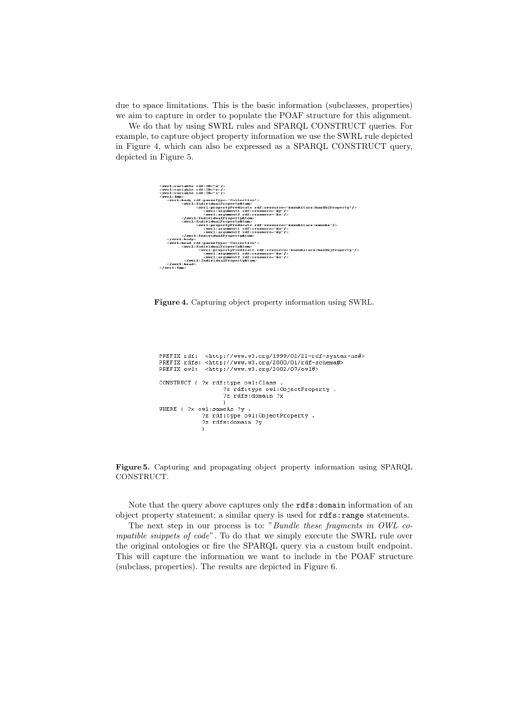due to space limitations. This is the basic information (subclasses, properties) we aim to capture in order to populate the POAF structure for this alignment.

We do that by using SWRL rules and SPARQL CONSTRUCT queries. For example, to capture object property information we use the SWRL rule depicted in Figure 4, which can also be expressed as a SPARQL CONSTRUCT query, depicted in Figure 5.



Figure 4. Capturing object property information using SWRL.

 ${\tt PREFIX\ ndf:~}$  <br> PREFIX rdfs: <http://www.w3.org/2000/01/rdf-schema#> PREFIX owl: <http://www.w3.org/2002/07/owl#> CONSTRUCT ( ?x rdf:type owl:Class ...,pc currenace :<br>?z rdf:type owl:ObjectProperty . ?z rdfs:domain ?x WHERE { ?x owl:sameAs ?y .<br>2z rdf:type owl:ObjectProperty .<br>2z rdfs:domain ?y  $\rightarrow$ 

Figure 5. Capturing and propagating object property information using SPARQL CONSTRUCT.

Note that the query above captures only the rdfs:domain information of an object property statement; a similar query is used for rdfs:range statements.

The next step in our process is to: "Bundle these fragments in OWL compatible snippets of code". To do that we simply execute the SWRL rule over the original ontologies or fire the SPARQL query via a custom built endpoint. This will capture the information we want to include in the POAF structure (subclass, properties). The results are depicted in Figure 6.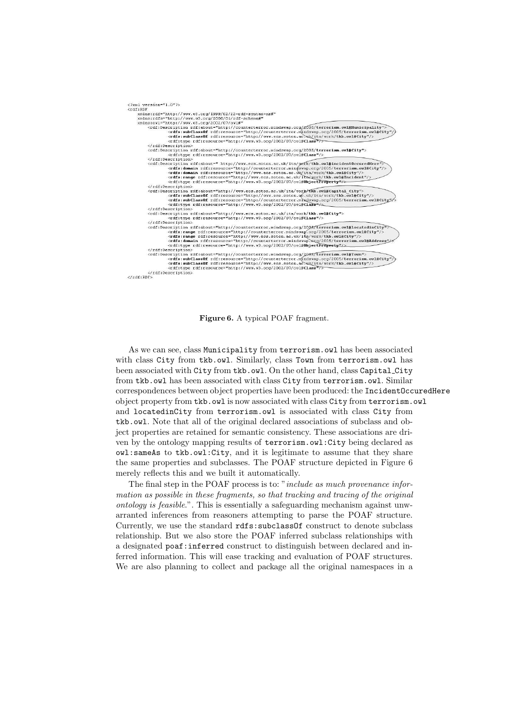

Figure 6. A typical POAF fragment.

As we can see, class Municipality from terrorism.owl has been associated with class City from tkb.owl. Similarly, class Town from terrorism.owl has been associated with City from tkb.owl. On the other hand, class Capital\_City from tkb.owl has been associated with class City from terrorism.owl. Similar correspondences between object properties have been produced: the IncidentOccuredHere object property from tkb.owl is now associated with class City from terrorism.owl and locatedinCity from terrorism.owl is associated with class City from tkb.owl. Note that all of the original declared associations of subclass and object properties are retained for semantic consistency. These associations are driven by the ontology mapping results of terrorism.owl:City being declared as owl:sameAs to tkb.owl:City, and it is legitimate to assume that they share the same properties and subclasses. The POAF structure depicted in Figure 6 merely reflects this and we built it automatically.

The final step in the POAF process is to: "*include as much provenance infor*mation as possible in these fragments, so that tracking and tracing of the original ontology is feasible.". This is essentially a safeguarding mechanism against unwarranted inferences from reasoners attempting to parse the POAF structure. Currently, we use the standard rdfs:subclassOf construct to denote subclass relationship. But we also store the POAF inferred subclass relationships with a designated poaf: inferred construct to distinguish between declared and inferred information. This will ease tracking and evaluation of POAF structures. We are also planning to collect and package all the original namespaces in a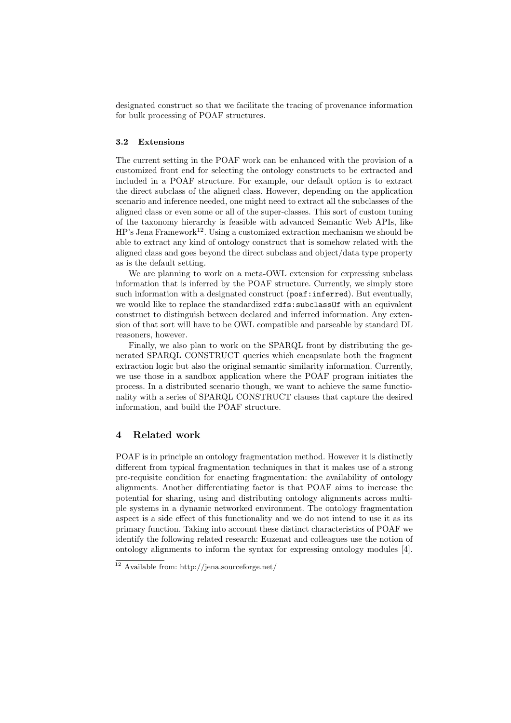designated construct so that we facilitate the tracing of provenance information for bulk processing of POAF structures.

#### 3.2 Extensions

The current setting in the POAF work can be enhanced with the provision of a customized front end for selecting the ontology constructs to be extracted and included in a POAF structure. For example, our default option is to extract the direct subclass of the aligned class. However, depending on the application scenario and inference needed, one might need to extract all the subclasses of the aligned class or even some or all of the super-classes. This sort of custom tuning of the taxonomy hierarchy is feasible with advanced Semantic Web APIs, like  $HP's$  Jena Framework<sup>12</sup>. Using a customized extraction mechanism we should be able to extract any kind of ontology construct that is somehow related with the aligned class and goes beyond the direct subclass and object/data type property as is the default setting.

We are planning to work on a meta-OWL extension for expressing subclass information that is inferred by the POAF structure. Currently, we simply store such information with a designated construct (poaf:inferred). But eventually, we would like to replace the standardized rdfs:subclassOf with an equivalent construct to distinguish between declared and inferred information. Any extension of that sort will have to be OWL compatible and parseable by standard DL reasoners, however.

Finally, we also plan to work on the SPARQL front by distributing the generated SPARQL CONSTRUCT queries which encapsulate both the fragment extraction logic but also the original semantic similarity information. Currently, we use those in a sandbox application where the POAF program initiates the process. In a distributed scenario though, we want to achieve the same functionality with a series of SPARQL CONSTRUCT clauses that capture the desired information, and build the POAF structure.

## 4 Related work

POAF is in principle an ontology fragmentation method. However it is distinctly different from typical fragmentation techniques in that it makes use of a strong pre-requisite condition for enacting fragmentation: the availability of ontology alignments. Another differentiating factor is that POAF aims to increase the potential for sharing, using and distributing ontology alignments across multiple systems in a dynamic networked environment. The ontology fragmentation aspect is a side effect of this functionality and we do not intend to use it as its primary function. Taking into account these distinct characteristics of POAF we identify the following related research: Euzenat and colleagues use the notion of ontology alignments to inform the syntax for expressing ontology modules [4].

<sup>12</sup> Available from: http://jena.sourceforge.net/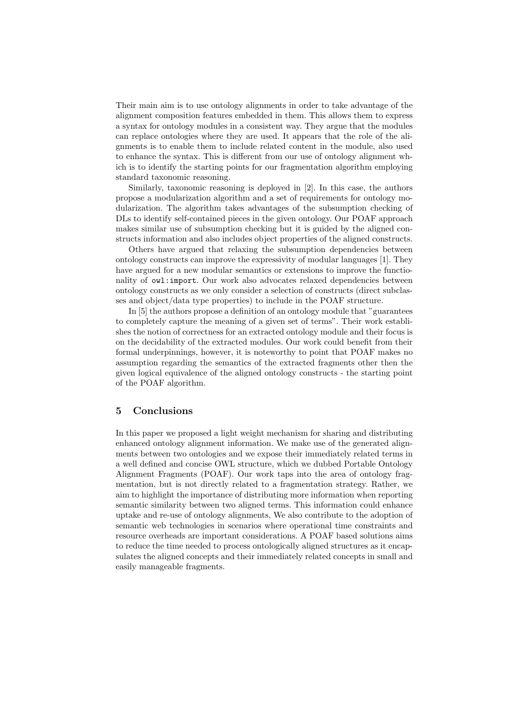Their main aim is to use ontology alignments in order to take advantage of the alignment composition features embedded in them. This allows them to express a syntax for ontology modules in a consistent way. They argue that the modules can replace ontologies where they are used. It appears that the role of the alignments is to enable them to include related content in the module, also used to enhance the syntax. This is different from our use of ontology alignment which is to identify the starting points for our fragmentation algorithm employing standard taxonomic reasoning.

Similarly, taxonomic reasoning is deployed in [2]. In this case, the authors propose a modularization algorithm and a set of requirements for ontology modularization. The algorithm takes advantages of the subsumption checking of DLs to identify self-contained pieces in the given ontology. Our POAF approach makes similar use of subsumption checking but it is guided by the aligned constructs information and also includes object properties of the aligned constructs.

Others have argued that relaxing the subsumption dependencies between ontology constructs can improve the expressivity of modular languages [1]. They have argued for a new modular semantics or extensions to improve the functionality of owl: import. Our work also advocates relaxed dependencies between ontology constructs as we only consider a selection of constructs (direct subclasses and object/data type properties) to include in the POAF structure.

In [5] the authors propose a definition of an ontology module that "guarantees to completely capture the meaning of a given set of terms". Their work establishes the notion of correctness for an extracted ontology module and their focus is on the decidability of the extracted modules. Our work could benefit from their formal underpinnings, however, it is noteworthy to point that POAF makes no assumption regarding the semantics of the extracted fragments other then the given logical equivalence of the aligned ontology constructs - the starting point of the POAF algorithm.

## 5 Conclusions

In this paper we proposed a light weight mechanism for sharing and distributing enhanced ontology alignment information. We make use of the generated alignments between two ontologies and we expose their immediately related terms in a well defined and concise OWL structure, which we dubbed Portable Ontology Alignment Fragments (POAF). Our work taps into the area of ontology fragmentation, but is not directly related to a fragmentation strategy. Rather, we aim to highlight the importance of distributing more information when reporting semantic similarity between two aligned terms. This information could enhance uptake and re-use of ontology alignments, We also contribute to the adoption of semantic web technologies in scenarios where operational time constraints and resource overheads are important considerations. A POAF based solutions aims to reduce the time needed to process ontologically aligned structures as it encapsulates the aligned concepts and their immediately related concepts in small and easily manageable fragments.